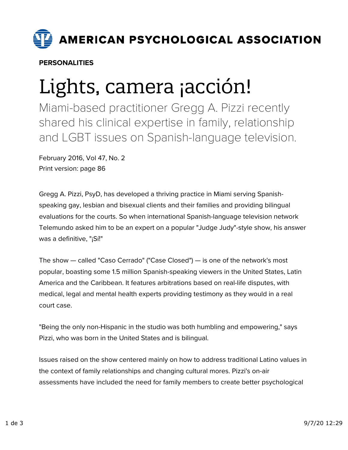

PERSONALITIES

## Lights, camera ¡acción!

Miami-based practitioner Gregg A. Pizzi recently shared his clinical expertise in family, relationship and LGBT issues on Spanish-language television.

February 2016, Vol 47, No. 2 Print version: page 86

Gregg A. Pizzi, PsyD, has developed a thriving practice in Miami serving Spanishspeaking gay, lesbian and bisexual clients and their families and providing bilingual evaluations for the courts. So when international Spanish-language television network Telemundo asked him to be an expert on a popular "Judge Judy"-style show, his answer was a definitive, "¡Sí!"

The show — called "Caso Cerrado" ("Case Closed") — is one of the network's most popular, boasting some 1.5 million Spanish-speaking viewers in the United States, Latin America and the Caribbean. It features arbitrations based on real-life disputes, with medical, legal and mental health experts providing testimony as they would in a real court case.

"Being the only non-Hispanic in the studio was both humbling and empowering," says Pizzi, who was born in the United States and is bilingual.

Issues raised on the show centered mainly on how to address traditional Latino values in the context of family relationships and changing cultural mores. Pizzi's on-air assessments have included the need for family members to create better psychological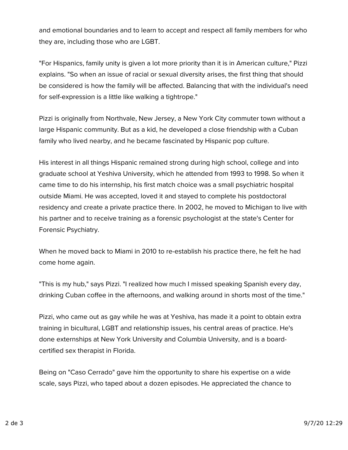and emotional boundaries and to learn to accept and respect all family members for who they are, including those who are LGBT.

"For Hispanics, family unity is given a lot more priority than it is in American culture," Pizzi explains. "So when an issue of racial or sexual diversity arises, the first thing that should be considered is how the family will be affected. Balancing that with the individual's need for self-expression is a little like walking a tightrope."

Pizzi is originally from Northvale, New Jersey, a New York City commuter town without a large Hispanic community. But as a kid, he developed a close friendship with a Cuban family who lived nearby, and he became fascinated by Hispanic pop culture.

His interest in all things Hispanic remained strong during high school, college and into graduate school at Yeshiva University, which he attended from 1993 to 1998. So when it came time to do his internship, his first match choice was a small psychiatric hospital outside Miami. He was accepted, loved it and stayed to complete his postdoctoral residency and create a private practice there. In 2002, he moved to Michigan to live with his partner and to receive training as a forensic psychologist at the state's Center for Forensic Psychiatry.

When he moved back to Miami in 2010 to re-establish his practice there, he felt he had come home again.

"This is my hub," says Pizzi. "I realized how much I missed speaking Spanish every day, drinking Cuban coffee in the afternoons, and walking around in shorts most of the time."

Pizzi, who came out as gay while he was at Yeshiva, has made it a point to obtain extra training in bicultural, LGBT and relationship issues, his central areas of practice. He's done externships at New York University and Columbia University, and is a boardcertified sex therapist in Florida.

Being on "Caso Cerrado" gave him the opportunity to share his expertise on a wide scale, says Pizzi, who taped about a dozen episodes. He appreciated the chance to